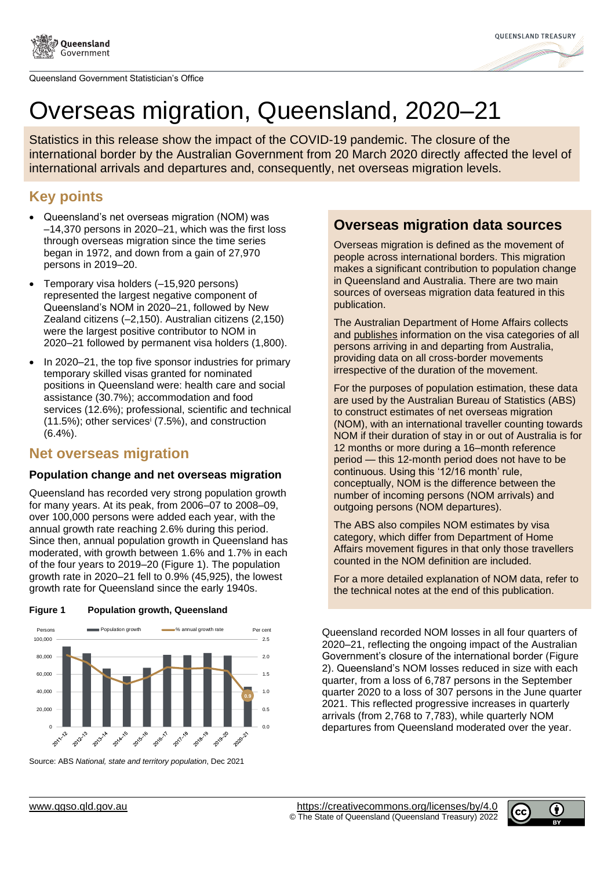



# Overseas migration, Queensland, 2020–21

Statistics in this release show the impact of the COVID-19 pandemic. The closure of the international border by the Australian Government from 20 March 2020 directly affected the level of international arrivals and departures and, consequently, net overseas migration levels.

## **Key points**

- Queensland's net overseas migration (NOM) was –14,370 persons in 2020–21, which was the first loss through overseas migration since the time series began in 1972, and down from a gain of 27,970 persons in 2019–20.
- Temporary visa holders (–15,920 persons) represented the largest negative component of Queensland's NOM in 2020–21, followed by New Zealand citizens (–2,150). Australian citizens (2,150) were the largest positive contributor to NOM in 2020–21 followed by permanent visa holders (1,800).
- In 2020–21, the top five sponsor industries for primary temporary skilled visas granted for nominated positions in Queensland were: health care and social assistance (30.7%); accommodation and food services (12.6%); professional, scientific and technical  $(11.5\%)$ ; other services<sup>i</sup> (7.5%), and construction  $(6.4\%)$ .

### **Net overseas migration**

### **Population change and net overseas migration**

Queensland has recorded very strong population growth for many years. At its peak, from 2006–07 to 2008–09, over 100,000 persons were added each year, with the annual growth rate reaching 2.6% during this period. Since then, annual population growth in Queensland has moderated, with growth between 1.6% and 1.7% in each of the four years to 2019–20 [\(Figure 1\)](#page-0-0). The population growth rate in 2020–21 fell to 0.9% (45,925), the lowest growth rate for Queensland since the early 1940s.



<span id="page-0-0"></span>**Figure 1 Population growth, Queensland**

### **Overseas migration data sources**

Overseas migration is defined as the movement of people across international borders. This migration makes a significant contribution to population change in Queensland and Australia. There are two main sources of overseas migration data featured in this publication.

The Australian Department of Home Affairs collects and [publishes](https://www.homeaffairs.gov.au/research-and-statistics/statistics/visa-statistics/live) information on the visa categories of all persons arriving in and departing from Australia, providing data on all cross-border movements irrespective of the duration of the movement.

For the purposes of population estimation, these data are used by the Australian Bureau of Statistics (ABS) to construct estimates of net overseas migration (NOM), with an international traveller counting towards NOM if their duration of stay in or out of Australia is for 12 months or more during a 16–month reference period — this 12-month period does not have to be continuous. Using this '12/16 month' rule, conceptually, NOM is the difference between the number of incoming persons (NOM arrivals) and outgoing persons (NOM departures).

The ABS also compiles NOM estimates by visa category, which differ from Department of Home Affairs movement figures in that only those travellers counted in the NOM definition are included.

For a more detailed explanation of NOM data, refer to the technical notes at the end of this publication.

Queensland recorded NOM losses in all four quarters of 2020–21, reflecting the ongoing impact of the Australian Government's closure of the international border [\(Figure](#page-1-0)  [2\)](#page-1-0). Queensland's NOM losses reduced in size with each quarter, from a loss of 6,787 persons in the September quarter 2020 to a loss of 307 persons in the June quarter 2021. This reflected progressive increases in quarterly arrivals (from 2,768 to 7,783), while quarterly NOM departures from Queensland moderated over the year.



Source: ABS *National, state and territory population*, Dec 2021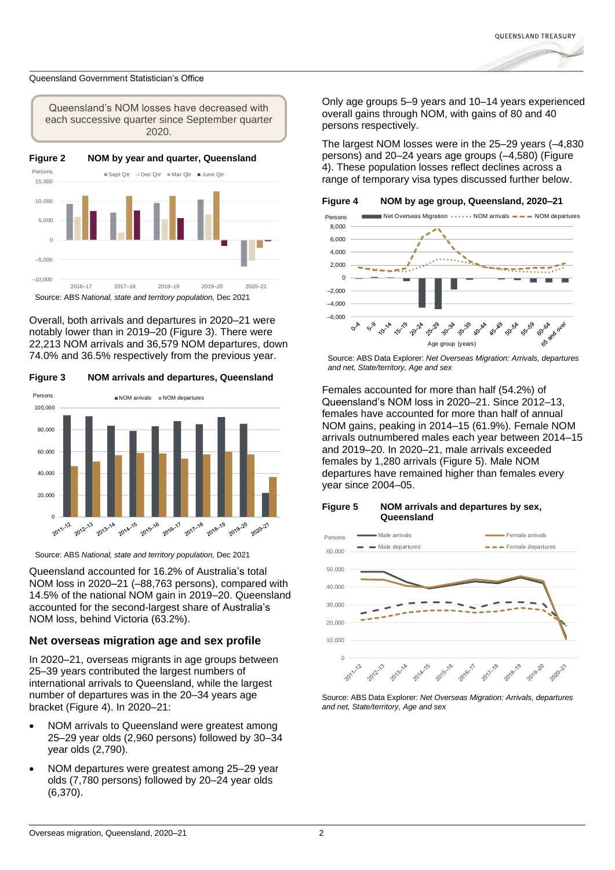

<span id="page-1-0"></span>

Overall, both arrivals and departures in 2020–21 were notably lower than in 2019–20 [\(Figure 3\)](#page-1-1). There were 22,213 NOM arrivals and 36,579 NOM departures, down 74.0% and 36.5% respectively from the previous year.

<span id="page-1-1"></span>**Figure 3 NOM arrivals and departures, Queensland**



Source: ABS *National, state and territory population,* Dec 2021

Queensland accounted for 16.2% of Australia's total NOM loss in 2020–21 (–88,763 persons), compared with 14.5% of the national NOM gain in 2019–20. Queensland accounted for the second-largest share of Australia's NOM loss, behind Victoria (63.2%).

### **Net overseas migration age and sex profile**

In 2020–21, overseas migrants in age groups between 25–39 years contributed the largest numbers of international arrivals to Queensland, while the largest number of departures was in the 20–34 years age bracket [\(Figure 4\)](#page-1-2). In 2020–21:

- NOM arrivals to Queensland were greatest among 25–29 year olds (2,960 persons) followed by 30–34 year olds (2,790).
- NOM departures were greatest among 25–29 year olds (7,780 persons) followed by 20–24 year olds (6,370).

Only age groups 5–9 years and 10–14 years experienced overall gains through NOM, with gains of 80 and 40 persons respectively.

The largest NOM losses were in the 25–29 years (–4,830 persons) and 20–24 years age groups (–4,580) [\(Figure](#page-1-2)  [4\)](#page-1-2). These population losses reflect declines across a range of temporary visa types discussed further below.

<span id="page-1-2"></span>

Source: ABS Data Explorer: *Net Overseas Migration: Arrivals, departures and net, State/territory, Age and sex* 

Females accounted for more than half (54.2%) of Queensland's NOM loss in 2020–21. Since 2012–13, females have accounted for more than half of annual NOM gains, peaking in 2014–15 (61.9%). Female NOM arrivals outnumbered males each year between 2014–15 and 2019–20. In 2020–21, male arrivals exceeded females by 1,280 arrivals [\(Figure 5\)](#page-1-3). Male NOM departures have remained higher than females every year since 2004–05.

#### <span id="page-1-3"></span>**Figure 5 NOM arrivals and departures by sex, Queensland**



Source: ABS Data Explorer: *Net Overseas Migration: Arrivals, departures and net, State/territory, Age and sex*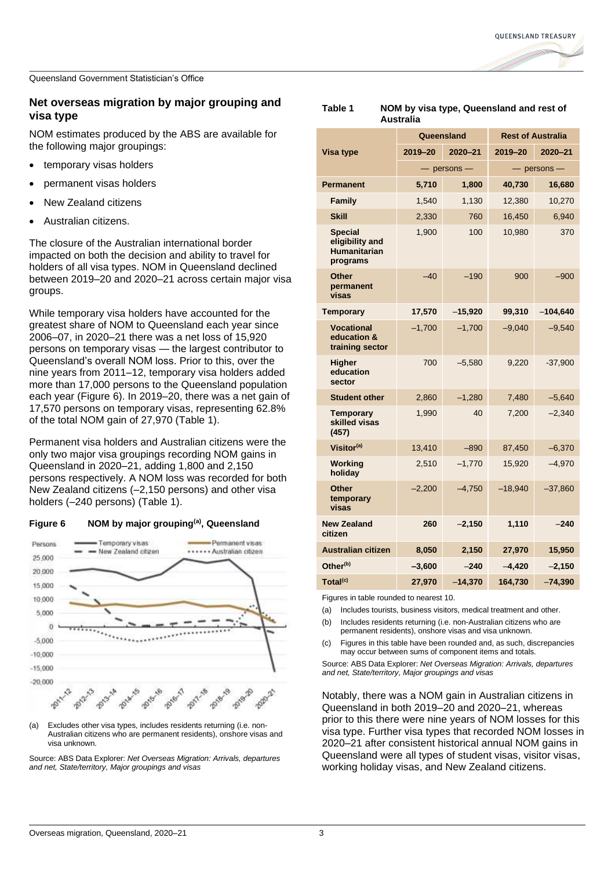### **Net overseas migration by major grouping and visa type**

NOM estimates produced by the ABS are available for the following major groupings:

- temporary visas holders
- permanent visas holders
- New Zealand citizens
- Australian citizens.

The closure of the Australian international border impacted on both the decision and ability to travel for holders of all visa types. NOM in Queensland declined between 2019–20 and 2020–21 across certain major visa groups.

While temporary visa holders have accounted for the greatest share of NOM to Queensland each year since 2006–07, in 2020–21 there was a net loss of 15,920 persons on temporary visas — the largest contributor to Queensland's overall NOM loss. Prior to this, over the nine years from 2011–12, temporary visa holders added more than 17,000 persons to the Queensland population each year [\(Figure 6\)](#page-2-0). In 2019–20, there was a net gain of 17,570 persons on temporary visas, representing 62.8% of the total NOM gain of 27,970 [\(Table 1\)](#page-2-1).

Permanent visa holders and Australian citizens were the only two major visa groupings recording NOM gains in Queensland in 2020–21, adding 1,800 and 2,150 persons respectively. A NOM loss was recorded for both New Zealand citizens (–2,150 persons) and other visa holders (–240 persons) [\(Table 1\)](#page-2-1).

<span id="page-2-0"></span>



(a) Excludes other visa types, includes residents returning (i.e. non-Australian citizens who are permanent residents), onshore visas and visa unknown.

Source: ABS Data Explorer: *Net Overseas Migration: Arrivals, departures and net, State/territory, Major groupings and visas*

|                                                                      |                 | Queensland | <b>Rest of Australia</b> |            |  |
|----------------------------------------------------------------------|-----------------|------------|--------------------------|------------|--|
| Visa type                                                            | 2019-20         | 2020-21    | 2019-20                  | 2020-21    |  |
|                                                                      | $-$ persons $-$ |            | $-$ persons $-$          |            |  |
| <b>Permanent</b>                                                     | 5,710           | 1,800      | 40,730                   | 16,680     |  |
| Family                                                               | 1,540           | 1,130      | 12,380                   | 10,270     |  |
| <b>Skill</b>                                                         | 2,330           | 760        | 16,450                   | 6,940      |  |
| <b>Special</b><br>eligibility and<br><b>Humanitarian</b><br>programs | 1,900           | 100        | 10,980                   | 370        |  |
| Other<br>permanent<br>visas                                          | $-40$           | $-190$     | 900                      | $-900$     |  |
| <b>Temporary</b>                                                     | 17,570          | $-15,920$  | 99,310                   | $-104,640$ |  |
| <b>Vocational</b><br>education &<br>training sector                  | $-1,700$        | $-1,700$   | $-9,040$                 | $-9,540$   |  |
| <b>Higher</b><br>education<br>sector                                 | 700             | $-5,580$   | 9,220                    | $-37,900$  |  |
| <b>Student other</b>                                                 | 2,860           | $-1,280$   | 7,480                    | $-5,640$   |  |
| <b>Temporary</b><br>skilled visas<br>(457)                           | 1,990           | 40         | 7,200                    | $-2,340$   |  |
| Visitor <sup>(a)</sup>                                               | 13,410          | $-890$     | 87,450                   | $-6,370$   |  |
| Working<br>holiday                                                   | 2,510           | $-1,770$   | 15,920                   | $-4,970$   |  |
| <b>Other</b><br>temporary<br>visas                                   | $-2,200$        | $-4,750$   | $-18,940$                | $-37,860$  |  |
| <b>New Zealand</b><br>citizen                                        | 260             | $-2,150$   | 1,110                    | $-240$     |  |
| <b>Australian citizen</b>                                            | 8,050           | 2,150      | 27,970                   | 15,950     |  |
| Other <sup>(b)</sup>                                                 | $-3,600$        | $-240$     | $-4,420$                 | $-2,150$   |  |
| Total <sup>(c)</sup>                                                 | 27,970          | $-14,370$  | 164,730                  | $-74,390$  |  |

<span id="page-2-1"></span>**Table 1 NOM by visa type, Queensland and rest of** 

**Australia**

Figures in table rounded to nearest 10.

(a) Includes tourists, business visitors, medical treatment and other.

- (b) Includes residents returning (i.e. non-Australian citizens who are permanent residents), onshore visas and visa unknown.
- (c) Figures in this table have been rounded and, as such, discrepancies may occur between sums of component items and totals.

Source: ABS Data Explorer: *Net Overseas Migration: Arrivals, departures and net, State/territory, Major groupings and visas* 

Notably, there was a NOM gain in Australian citizens in Queensland in both 2019–20 and 2020–21, whereas prior to this there were nine years of NOM losses for this visa type. Further visa types that recorded NOM losses in 2020–21 after consistent historical annual NOM gains in Queensland were all types of student visas, visitor visas, working holiday visas, and New Zealand citizens.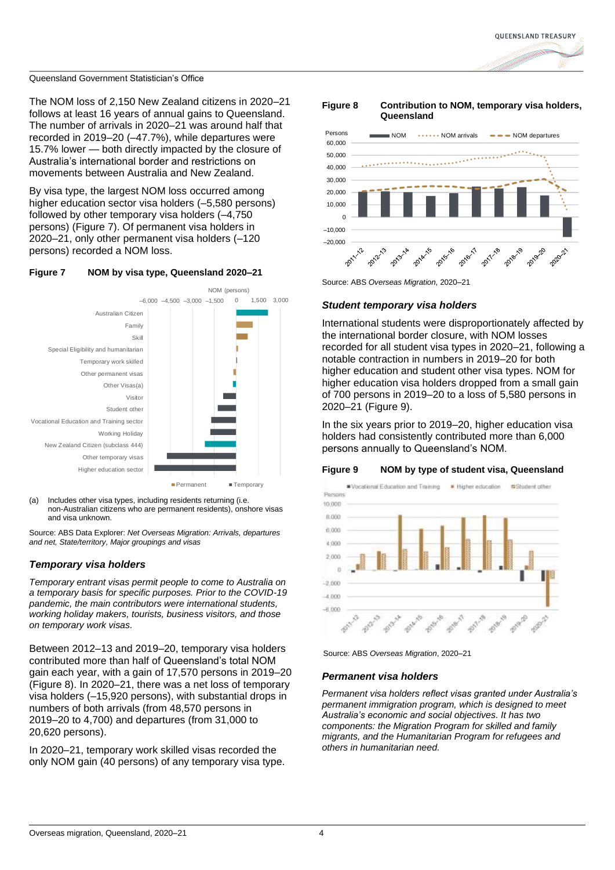The NOM loss of 2,150 New Zealand citizens in 2020–21 follows at least 16 years of annual gains to Queensland. The number of arrivals in 2020–21 was around half that recorded in 2019–20 (–47.7%), while departures were 15.7% lower — both directly impacted by the closure of Australia's international border and restrictions on movements between Australia and New Zealand.

By visa type, the largest NOM loss occurred among higher education sector visa holders (–5,580 persons) followed by other temporary visa holders (–4,750 persons) (Figure 7). Of permanent visa holders in 2020–21, only other permanent visa holders (–120 persons) recorded a NOM loss.

### **Figure 7 NOM by visa type, Queensland 2020–21**



(a) Includes other visa types, including residents returning (i.e. non-Australian citizens who are permanent residents), onshore visas and visa unknown.

Source: ABS Data Explorer: *Net Overseas Migration: Arrivals, departures and net, State/territory, Major groupings and visas* 

### *Temporary visa holders*

*Temporary entrant visas permit people to come to Australia on a temporary basis for specific purposes. Prior to the COVID-19 pandemic, the main contributors were international students, working holiday makers, tourists, business visitors, and those on temporary work visas.*

Between 2012–13 and 2019–20, temporary visa holders contributed more than half of Queensland's total NOM gain each year, with a gain of 17,570 persons in 2019–20 [\(Figure 8\)](#page-3-0). In 2020–21, there was a net loss of temporary visa holders (–15,920 persons), with substantial drops in numbers of both arrivals (from 48,570 persons in 2019–20 to 4,700) and departures (from 31,000 to 20,620 persons).

In 2020–21, temporary work skilled visas recorded the only NOM gain (40 persons) of any temporary visa type.

### <span id="page-3-0"></span>**Figure 8 Contribution to NOM, temporary visa holders, Queensland**



Source: ABS *Overseas Migration*, 2020–21

### *Student temporary visa holders*

International students were disproportionately affected by the international border closure, with NOM losses recorded for all student visa types in 2020–21, following a notable contraction in numbers in 2019–20 for both higher education and student other visa types. NOM for higher education visa holders dropped from a small gain of 700 persons in 2019–20 to a loss of 5,580 persons in 2020–21 [\(Figure 9\)](#page-3-1).

In the six years prior to 2019–20, higher education visa holders had consistently contributed more than 6,000 persons annually to Queensland's NOM.

### <span id="page-3-1"></span>**Figure 9 NOM by type of student visa, Queensland**



Source: ABS *Overseas Migration*, 2020–21

### *Permanent visa holders*

*Permanent visa holders reflect visas granted under Australia's permanent immigration program, which is designed to meet Australia's economic and social objectives. It has two components: the Migration Program for skilled and family migrants, and the Humanitarian Program for refugees and others in humanitarian need.*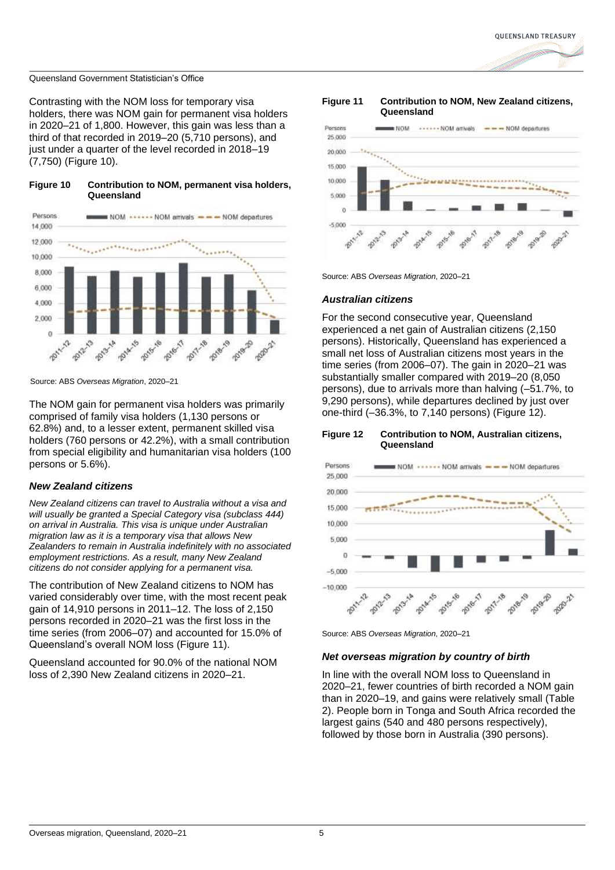Contrasting with the NOM loss for temporary visa holders, there was NOM gain for permanent visa holders in 2020–21 of 1,800. However, this gain was less than a third of that recorded in 2019–20 (5,710 persons), and just under a quarter of the level recorded in 2018–19 (7,750) [\(Figure 10\)](#page-4-0).

### <span id="page-4-0"></span>**Figure 10 Contribution to NOM, permanent visa holders, Queensland**



Source: ABS *Overseas Migration*, 2020–21

The NOM gain for permanent visa holders was primarily comprised of family visa holders (1,130 persons or 62.8%) and, to a lesser extent, permanent skilled visa holders (760 persons or 42.2%), with a small contribution from special eligibility and humanitarian visa holders (100 persons or 5.6%).

### *New Zealand citizens*

*New Zealand citizens can travel to Australia without a visa and will usually be granted a Special Category visa (subclass 444) on arrival in Australia. This visa is unique under Australian migration law as it is a temporary visa that allows New Zealanders to remain in Australia indefinitely with no associated employment restrictions. As a result, many New Zealand citizens do not consider applying for a permanent visa.*

The contribution of New Zealand citizens to NOM has varied considerably over time, with the most recent peak gain of 14,910 persons in 2011–12. The loss of 2,150 persons recorded in 2020–21 was the first loss in the time series (from 2006–07) and accounted for 15.0% of Queensland's overall NOM loss [\(Figure 11\)](#page-4-1).

Queensland accounted for 90.0% of the national NOM loss of 2,390 New Zealand citizens in 2020–21.

### <span id="page-4-1"></span>**Figure 11 Contribution to NOM, New Zealand citizens, Queensland**



Source: ABS *Overseas Migration*, 2020–21

### *Australian citizens*

For the second consecutive year, Queensland experienced a net gain of Australian citizens (2,150 persons). Historically, Queensland has experienced a small net loss of Australian citizens most years in the time series (from 2006–07). The gain in 2020–21 was substantially smaller compared with 2019–20 (8,050 persons), due to arrivals more than halving (–51.7%, to 9,290 persons), while departures declined by just over one-third (–36.3%, to 7,140 persons) [\(Figure 12\)](#page-4-2).

#### <span id="page-4-2"></span>**Figure 12 Contribution to NOM, Australian citizens, Queensland**



Source: ABS *Overseas Migration*, 2020–21

### *Net overseas migration by country of birth*

In line with the overall NOM loss to Queensland in 2020–21, fewer countries of birth recorded a NOM gain than in 2020–19, and gains were relatively small [\(Table](#page-5-0)  [2\)](#page-5-0). People born in Tonga and South Africa recorded the largest gains (540 and 480 persons respectively), followed by those born in Australia (390 persons).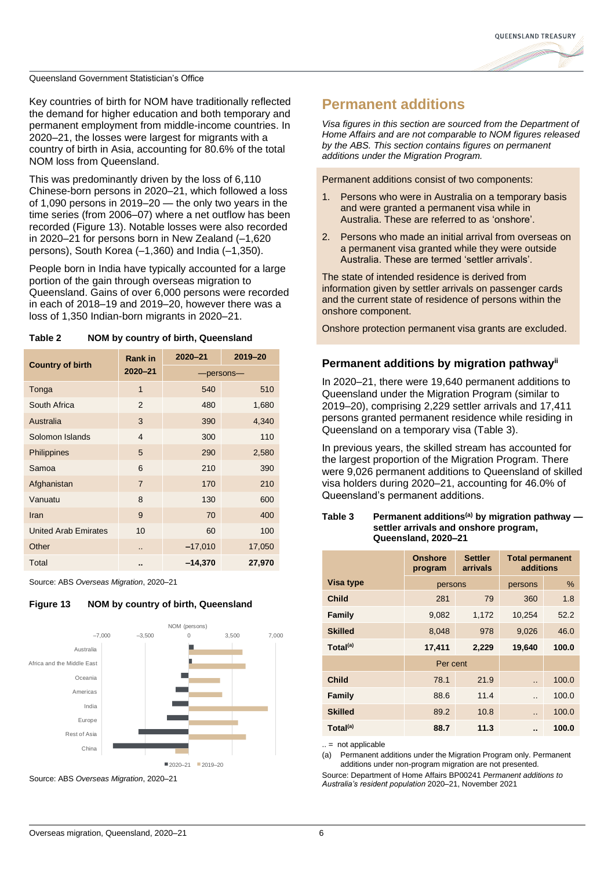

Key countries of birth for NOM have traditionally reflected the demand for higher education and both temporary and permanent employment from middle-income countries. In 2020–21, the losses were largest for migrants with a country of birth in Asia, accounting for 80.6% of the total NOM loss from Queensland.

This was predominantly driven by the loss of 6,110 Chinese-born persons in 2020–21, which followed a loss of 1,090 persons in 2019–20 — the only two years in the time series (from 2006–07) where a net outflow has been recorded [\(Figure 13\)](#page-5-1). Notable losses were also recorded in 2020–21 for persons born in New Zealand (–1,620 persons), South Korea (–1,360) and India (–1,350).

People born in India have typically accounted for a large portion of the gain through overseas migration to Queensland. Gains of over 6,000 persons were recorded in each of 2018–19 and 2019–20, however there was a loss of 1,350 Indian-born migrants in 2020–21.

| <b>Country of birth</b>     | <b>Rank in</b> | $2020 - 21$ | 2019-20 |  |
|-----------------------------|----------------|-------------|---------|--|
|                             | $2020 - 21$    | -persons-   |         |  |
| Tonga                       | $\mathbf{1}$   | 540         | 510     |  |
| South Africa                | 2              | 480         | 1,680   |  |
| Australia                   | 3              | 390         | 4,340   |  |
| Solomon Islands             | $\overline{4}$ | 300         | 110     |  |
| Philippines                 | 5              | 290         | 2,580   |  |
| Samoa                       | 6              | 210         | 390     |  |
| Afghanistan                 | $\overline{7}$ | 170         | 210     |  |
| Vanuatu                     | 8              | 130         | 600     |  |
| Iran                        | 9              | 70          | 400     |  |
| <b>United Arab Emirates</b> | 10             | 60          | 100     |  |
| Other                       |                | $-17,010$   | 17,050  |  |
| Total                       |                | $-14,370$   | 27,970  |  |

<span id="page-5-0"></span>**Table 2 NOM by country of birth, Queensland**

Source: ABS *Overseas Migration*, 2020–21

<span id="page-5-1"></span>



Source: ABS *Overseas Migration*, 2020–21

### **Permanent additions**

*Visa figures in this section are sourced from the Department of Home Affairs and are not comparable to NOM figures released by the ABS. This section contains figures on permanent additions under the Migration Program.*

Permanent additions consist of two components:

- 1. Persons who were in Australia on a temporary basis and were granted a permanent visa while in Australia. These are referred to as 'onshore'.
- 2. Persons who made an initial arrival from overseas on a permanent visa granted while they were outside Australia. These are termed 'settler arrivals'.

The state of intended residence is derived from information given by settler arrivals on passenger cards and the current state of residence of persons within the onshore component.

Onshore protection permanent visa grants are excluded.

### **Permanent additions by migration pathwayii**

In 2020–21, there were 19,640 permanent additions to Queensland under the Migration Program (similar to 2019–20), comprising 2,229 settler arrivals and 17,411 persons granted permanent residence while residing in Queensland on a temporary visa [\(Table 3\)](#page-5-2).

In previous years, the skilled stream has accounted for the largest proportion of the Migration Program. There were 9,026 permanent additions to Queensland of skilled visa holders during 2020–21, accounting for 46.0% of Queensland's permanent additions.

### <span id="page-5-2"></span>**Table 3 Permanent additions(a) by migration pathway settler arrivals and onshore program, Queensland, 2020–21**

|                      | <b>Onshore</b><br>program | <b>Settler</b><br>arrivals | <b>Total permanent</b><br>additions |       |
|----------------------|---------------------------|----------------------------|-------------------------------------|-------|
| Visa type            | persons                   |                            | persons                             | %     |
| Child                | 281                       | 79                         | 360                                 | 1.8   |
| <b>Family</b>        | 9,082                     | 1,172                      | 10,254                              | 52.2  |
| <b>Skilled</b>       | 8,048                     | 978                        | 9,026                               | 46.0  |
| Total <sup>(a)</sup> | 17,411                    | 2,229                      | 19,640                              | 100.0 |
|                      | Per cent                  |                            |                                     |       |
| Child                | 78.1                      | 21.9                       | $\ddot{\phantom{a}}$                | 100.0 |
| <b>Family</b>        | 88.6                      | 11.4                       | $\ddot{\phantom{a}}$                | 100.0 |
| <b>Skilled</b>       | 89.2                      | 10.8                       | $\ddot{\phantom{a}}$                | 100.0 |
| Total <sup>(a)</sup> | 88.7                      | 11.3                       |                                     | 100.0 |

 $=$  not applicable

(a) Permanent additions under the Migration Program only. Permanent additions under non-program migration are not presented.

Source: Department of Home Affairs BP00241 *Permanent additions to Australia's resident population* 2020–21, November 2021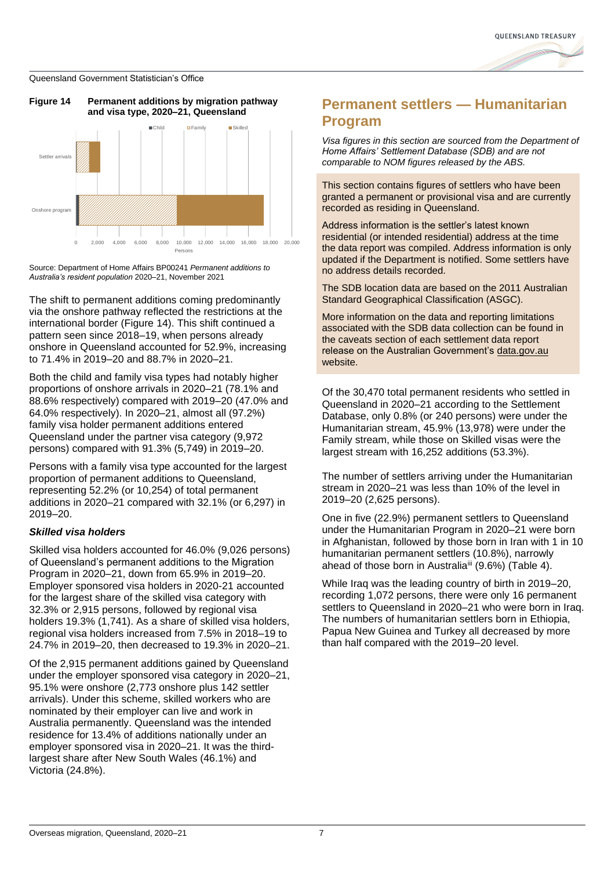

<span id="page-6-0"></span>



Source: Department of Home Affairs BP00241 *Permanent additions to Australia's resident population* 2020–21, November 2021

The shift to permanent additions coming predominantly via the onshore pathway reflected the restrictions at the international border [\(Figure 14\)](#page-6-0). This shift continued a pattern seen since 2018–19, when persons already onshore in Queensland accounted for 52.9%, increasing to 71.4% in 2019–20 and 88.7% in 2020–21.

Both the child and family visa types had notably higher proportions of onshore arrivals in 2020–21 (78.1% and 88.6% respectively) compared with 2019–20 (47.0% and 64.0% respectively). In 2020–21, almost all (97.2%) family visa holder permanent additions entered Queensland under the partner visa category (9,972 persons) compared with 91.3% (5,749) in 2019–20.

Persons with a family visa type accounted for the largest proportion of permanent additions to Queensland, representing 52.2% (or 10,254) of total permanent additions in 2020–21 compared with 32.1% (or 6,297) in 2019–20.

### *Skilled visa holders*

Skilled visa holders accounted for 46.0% (9,026 persons) of Queensland's permanent additions to the Migration Program in 2020–21, down from 65.9% in 2019–20. Employer sponsored visa holders in 2020-21 accounted for the largest share of the skilled visa category with 32.3% or 2,915 persons, followed by regional visa holders 19.3% (1,741). As a share of skilled visa holders, regional visa holders increased from 7.5% in 2018–19 to 24.7% in 2019–20, then decreased to 19.3% in 2020–21.

Of the 2,915 permanent additions gained by Queensland under the employer sponsored visa category in 2020–21, 95.1% were onshore (2,773 onshore plus 142 settler arrivals). Under this scheme, skilled workers who are nominated by their employer can live and work in Australia permanently. Queensland was the intended residence for 13.4% of additions nationally under an employer sponsored visa in 2020–21. It was the thirdlargest share after New South Wales (46.1%) and Victoria (24.8%).

### **Permanent settlers — Humanitarian Program**

*Visa figures in this section are sourced from the Department of Home Affairs' Settlement Database (SDB) and are not comparable to NOM figures released by the ABS.*

This section contains figures of settlers who have been granted a permanent or provisional visa and are currently recorded as residing in Queensland.

Address information is the settler's latest known residential (or intended residential) address at the time the data report was compiled. Address information is only updated if the Department is notified. Some settlers have no address details recorded.

The SDB location data are based on the 2011 Australian Standard Geographical Classification (ASGC).

More information on the data and reporting limitations associated with the SDB data collection can be found in the caveats section of each settlement data report release on the Australian Government's [data.gov.au](https://data.gov.au/) website.

Of the 30,470 total permanent residents who settled in Queensland in 2020–21 according to the Settlement Database, only 0.8% (or 240 persons) were under the Humanitarian stream, 45.9% (13,978) were under the Family stream, while those on Skilled visas were the largest stream with 16,252 additions (53.3%).

The number of settlers arriving under the Humanitarian stream in 2020–21 was less than 10% of the level in 2019–20 (2,625 persons).

One in five (22.9%) permanent settlers to Queensland under the Humanitarian Program in 2020–21 were born in Afghanistan, followed by those born in Iran with 1 in 10 humanitarian permanent settlers (10.8%), narrowly ahead of those born in Australia<sup>iii</sup> (9.6%) (Table 4).

<span id="page-6-1"></span>While Iraq was the leading country of birth in 2019–20, recording 1,072 persons, there were only 16 permanent settlers to Queensland in 2020–21 who were born in Iraq. The numbers of humanitarian settlers born in Ethiopia, Papua New Guinea and Turkey all decreased by more than half compared with the 2019–20 level.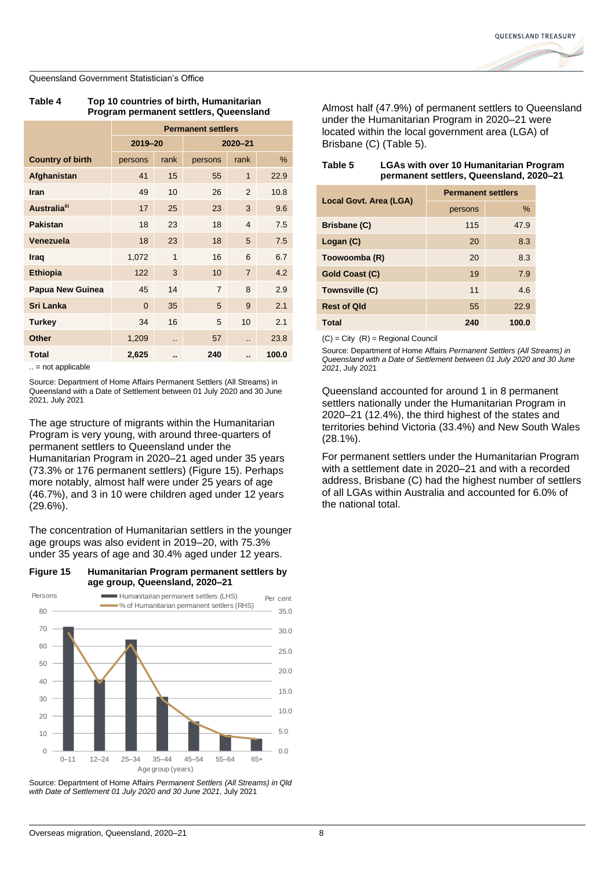| Table 4 | Top 10 countries of birth, Humanitarian |
|---------|-----------------------------------------|
|         | Program permanent settlers, Queensland  |

|                         | <b>Permanent settlers</b> |                      |                |                      |       |
|-------------------------|---------------------------|----------------------|----------------|----------------------|-------|
|                         | 2019-20                   |                      | $2020 - 21$    |                      |       |
| <b>Country of birth</b> | persons                   | rank                 | persons        | rank                 | %     |
| Afghanistan             | 41                        | 15                   | 55             | $\mathbf{1}$         | 22.9  |
| Iran                    | 49                        | 10                   | 26             | 2                    | 10.8  |
| <b>Australia</b> iii    | 17                        | 25                   | 23             | 3                    | 9.6   |
| <b>Pakistan</b>         | 18                        | 23                   | 18             | $\overline{4}$       | 7.5   |
| Venezuela               | 18                        | 23                   | 18             | 5                    | 7.5   |
| Iraq                    | 1,072                     | 1                    | 16             | 6                    | 6.7   |
| <b>Ethiopia</b>         | 122                       | 3                    | 10             | $\overline{7}$       | 4.2   |
| Papua New Guinea        | 45                        | 14                   | $\overline{7}$ | 8                    | 2.9   |
| Sri Lanka               | $\Omega$                  | 35                   | 5              | 9                    | 2.1   |
| <b>Turkey</b>           | 34                        | 16                   | 5              | 10                   | 2.1   |
| <b>Other</b>            | 1,209                     | $\ddot{\phantom{a}}$ | 57             | $\ddot{\phantom{a}}$ | 23.8  |
| <b>Total</b>            | 2,625                     | ٠.                   | 240            |                      | 100.0 |

.. = not applicable

Source: Department of Home Affairs Permanent Settlers (All Streams) in Queensland with a Date of Settlement between 01 July 2020 and 30 June 2021, July 2021

The age structure of migrants within the Humanitarian Program is very young, with around three-quarters of permanent settlers to Queensland under the Humanitarian Program in 2020–21 aged under 35 years (73.3% or 176 permanent settlers) [\(Figure 15\)](#page-7-0). Perhaps more notably, almost half were under 25 years of age (46.7%), and 3 in 10 were children aged under 12 years (29.6%).

The concentration of Humanitarian settlers in the younger age groups was also evident in 2019–20, with 75.3% under 35 years of age and 30.4% aged under 12 years.

<span id="page-7-0"></span>



Source: Department of Home Affairs *Permanent Settlers (All Streams) in Qld with Date of Settlement 01 July 2020 and 30 June 2021*, July 2021

Almost half (47.9%) of permanent settlers to Queensland under the Humanitarian Program in 2020–21 were located within the local government area (LGA) of Brisbane (C) [\(Table 5\)](#page-7-1).

<span id="page-7-1"></span>**Table 5 LGAs with over 10 Humanitarian Program** 

| permanent settlers, Queensland, 2020-21 |                           |       |  |  |  |
|-----------------------------------------|---------------------------|-------|--|--|--|
| Local Govt. Area (LGA)                  | <b>Permanent settlers</b> |       |  |  |  |
|                                         | persons                   | $\%$  |  |  |  |
| Brisbane (C)                            | 115                       | 47.9  |  |  |  |
| Logan (C)                               | 20                        | 8.3   |  |  |  |
| Toowoomba (R)                           | 20                        | 8.3   |  |  |  |
| Gold Coast (C)                          | 19                        | 7.9   |  |  |  |
| Townsville (C)                          | 11                        | 4.6   |  |  |  |
| <b>Rest of Qld</b>                      | 55                        | 22.9  |  |  |  |
| Total                                   | 240                       | 100.0 |  |  |  |

 $(C) = City (R) = Regional Council$ 

Source: Department of Home Affairs *Permanent Settlers (All Streams) in Queensland with a Date of Settlement between 01 July 2020 and 30 June 2021*, July 2021

Queensland accounted for around 1 in 8 permanent settlers nationally under the Humanitarian Program in 2020–21 (12.4%), the third highest of the states and territories behind Victoria (33.4%) and New South Wales (28.1%).

For permanent settlers under the Humanitarian Program with a settlement date in 2020–21 and with a recorded address, Brisbane (C) had the highest number of settlers of all LGAs within Australia and accounted for 6.0% of the national total.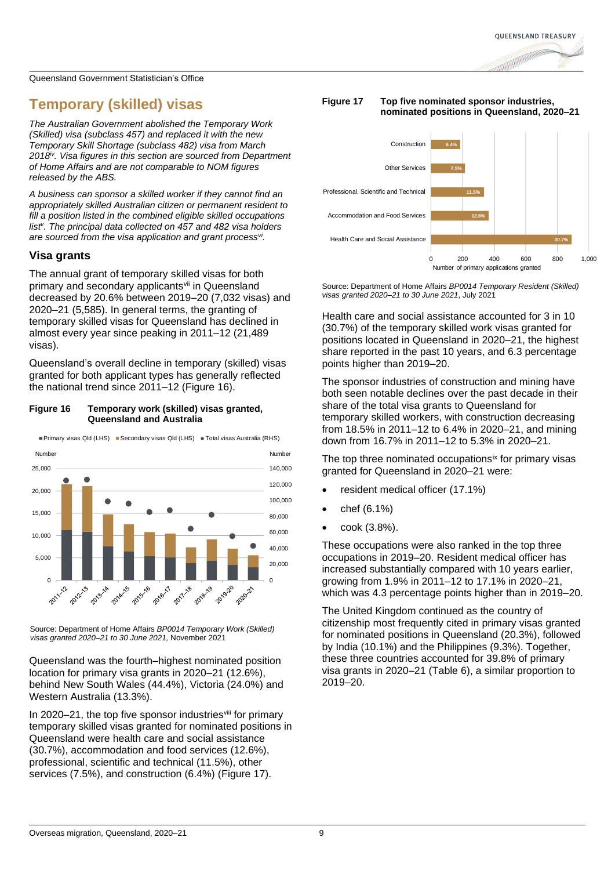### **Temporary (skilled) visas**

*The Australian Government abolished the Temporary Work (Skilled) visa (subclass 457) and replaced it with the new Temporary Skill Shortage (subclass 482) visa from March 2018iv. Visa figures in this section are sourced from Department of Home Affairs and are not comparable to NOM figures released by the ABS.*

*A business can sponsor a skilled worker if they cannot find an appropriately skilled Australian citizen or permanent resident to fill a position listed in the combined eligible skilled occupations list<sup>v</sup> . The principal data collected on 457 and 482 visa holders are sourced from the visa application and grant processvi .*

### **Visa grants**

The annual grant of temporary skilled visas for both primary and secondary applicants<sup>vii</sup> in Queensland decreased by 20.6% between 2019–20 (7,032 visas) and 2020–21 (5,585). In general terms, the granting of temporary skilled visas for Queensland has declined in almost every year since peaking in 2011–12 (21,489 visas).

Queensland's overall decline in temporary (skilled) visas granted for both applicant types has generally reflected the national trend since 2011–12 [\(Figure 16\)](#page-8-0).

### <span id="page-8-0"></span>**Figure 16 Temporary work (skilled) visas granted, Queensland and Australia**



■Primary visas Qld (LHS) ■ Secondary visas Qld (LHS) ● Total visas Australia (RHS)

Source: Department of Home Affairs *BP0014 Temporary Work (Skilled) visas granted 2020–21 to 30 June 2021,* November 2021

Queensland was the fourth–highest nominated position location for primary visa grants in 2020–21 (12.6%), behind New South Wales (44.4%), Victoria (24.0%) and Western Australia (13.3%).

In 2020–21, the top five sponsor industries<sup>viii</sup> for primary temporary skilled visas granted for nominated positions in Queensland were health care and social assistance (30.7%), accommodation and food services (12.6%), professional, scientific and technical (11.5%), other services (7.5%), and construction (6.4%) [\(Figure 17\)](#page-8-1).

### <span id="page-8-1"></span>**Figure 17 Top five nominated sponsor industries, nominated positions in Queensland, 2020–21**



Source: Department of Home Affairs *BP0014 Temporary Resident (Skilled) visas granted 2020–21 to 30 June 2021*, July 2021

Health care and social assistance accounted for 3 in 10 (30.7%) of the temporary skilled work visas granted for positions located in Queensland in 2020–21, the highest share reported in the past 10 years, and 6.3 percentage points higher than 2019–20.

The sponsor industries of construction and mining have both seen notable declines over the past decade in their share of the total visa grants to Queensland for temporary skilled workers, with construction decreasing from 18.5% in 2011–12 to 6.4% in 2020–21, and mining down from 16.7% in 2011–12 to 5.3% in 2020–21.

The top three nominated occupations<sup>ix</sup> for primary visas granted for Queensland in 2020–21 were:

- resident medical officer (17.1%)
- chef (6.1%)
- cook (3.8%).

These occupations were also ranked in the top three occupations in 2019–20. Resident medical officer has increased substantially compared with 10 years earlier, growing from 1.9% in 2011–12 to 17.1% in 2020–21, which was 4.3 percentage points higher than in 2019–20.

The United Kingdom continued as the country of citizenship most frequently cited in primary visas granted for nominated positions in Queensland (20.3%), followed by India (10.1%) and the Philippines (9.3%). Together, these three countries accounted for 39.8% of primary visa grants in 2020–21 [\(Table 6\)](#page-9-0), a similar proportion to 2019–20.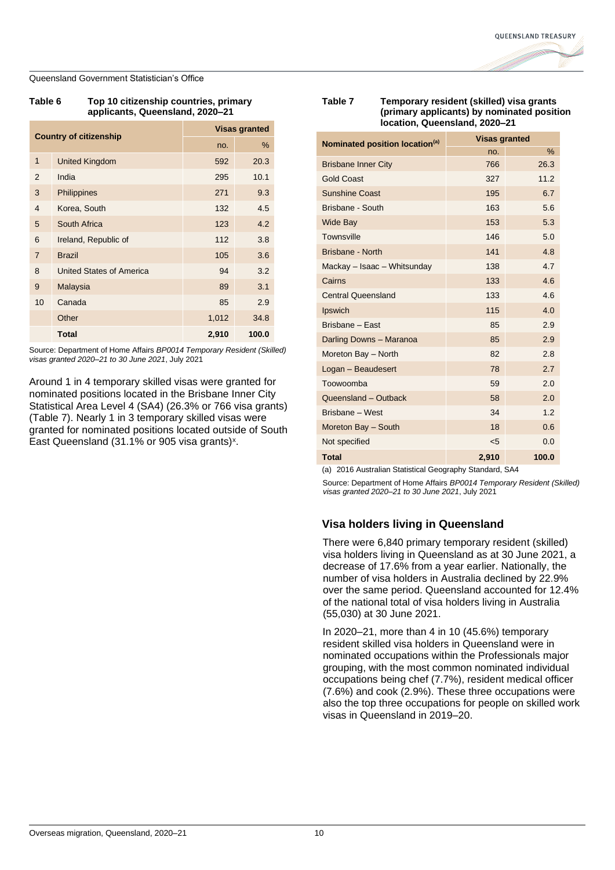<span id="page-9-0"></span>

| Table 6 | Top 10 citizenship countries, primary |  |  |
|---------|---------------------------------------|--|--|
|         | applicants, Queensland, 2020–21       |  |  |

| <b>Country of citizenship</b> |                          | <b>Visas granted</b> |       |
|-------------------------------|--------------------------|----------------------|-------|
|                               |                          | no.                  | %     |
| $\mathbf{1}$                  | <b>United Kingdom</b>    | 592                  | 20.3  |
| $\overline{2}$                | India                    | 295                  | 10.1  |
| 3                             | <b>Philippines</b>       | 271                  | 9.3   |
| $\overline{4}$                | Korea, South             | 132                  | 4.5   |
| 5                             | South Africa             | 123                  | 4.2   |
| 6                             | Ireland, Republic of     | 112                  | 3.8   |
| $\overline{7}$                | <b>Brazil</b>            | 105                  | 3.6   |
| 8                             | United States of America | 94                   | 3.2   |
| 9                             | Malaysia                 | 89                   | 3.1   |
| 10                            | Canada                   | 85                   | 2.9   |
|                               | Other                    | 1,012                | 34.8  |
|                               | <b>Total</b>             | 2,910                | 100.0 |

Source: Department of Home Affairs *BP0014 Temporary Resident (Skilled) visas granted 2020–21 to 30 June 2021*, July 2021

Around 1 in 4 temporary skilled visas were granted for nominated positions located in the Brisbane Inner City Statistical Area Level 4 (SA4) (26.3% or 766 visa grants) [\(Table 7\)](#page-9-1). Nearly 1 in 3 temporary skilled visas were granted for nominated positions located outside of South East Queensland (31.1% or 905 visa grants)<sup>x</sup>.

### <span id="page-9-1"></span>**Table 7 Temporary resident (skilled) visa grants (primary applicants) by nominated position location, Queensland, 2020–21**

| Nominated position location <sup>(a)</sup> | <b>Visas granted</b> |       |  |
|--------------------------------------------|----------------------|-------|--|
|                                            | no.                  | $\%$  |  |
| <b>Brisbane Inner City</b>                 | 766                  | 26.3  |  |
| <b>Gold Coast</b>                          | 327                  | 11.2  |  |
| <b>Sunshine Coast</b>                      | 195                  | 6.7   |  |
| Brisbane - South                           | 163                  | 5.6   |  |
| <b>Wide Bay</b>                            | 153                  | 5.3   |  |
| Townsville                                 | 146                  | 5.0   |  |
| Brisbane - North                           | 141                  | 4.8   |  |
| Mackay - Isaac - Whitsunday                | 138                  | 4.7   |  |
| Cairns                                     | 133                  | 4.6   |  |
| <b>Central Queensland</b>                  | 133                  | 4.6   |  |
| Ipswich                                    | 115                  | 4.0   |  |
| Brisbane - East                            | 85                   | 2.9   |  |
| Darling Downs - Maranoa                    | 85                   | 2.9   |  |
| Moreton Bay - North                        | 82                   | 2.8   |  |
| Logan - Beaudesert                         | 78                   | 2.7   |  |
| Toowoomba                                  | 59                   | 2.0   |  |
| Queensland - Outback                       | 58                   | 2.0   |  |
| Brisbane - West                            | 34                   | 1.2   |  |
| Moreton Bay - South                        | 18                   | 0.6   |  |
| Not specified                              | $5$                  | 0.0   |  |
| <b>Total</b>                               | 2,910                | 100.0 |  |

(a) 2016 Australian Statistical Geography Standard, SA4

Source: Department of Home Affairs *BP0014 Temporary Resident (Skilled) visas granted 2020–21 to 30 June 2021*, July 2021

### **Visa holders living in Queensland**

There were 6,840 primary temporary resident (skilled) visa holders living in Queensland as at 30 June 2021, a decrease of 17.6% from a year earlier. Nationally, the number of visa holders in Australia declined by 22.9% over the same period. Queensland accounted for 12.4% of the national total of visa holders living in Australia (55,030) at 30 June 2021.

In 2020–21, more than 4 in 10 (45.6%) temporary resident skilled visa holders in Queensland were in nominated occupations within the Professionals major grouping, with the most common nominated individual occupations being chef (7.7%), resident medical officer (7.6%) and cook (2.9%). These three occupations were also the top three occupations for people on skilled work visas in Queensland in 2019–20.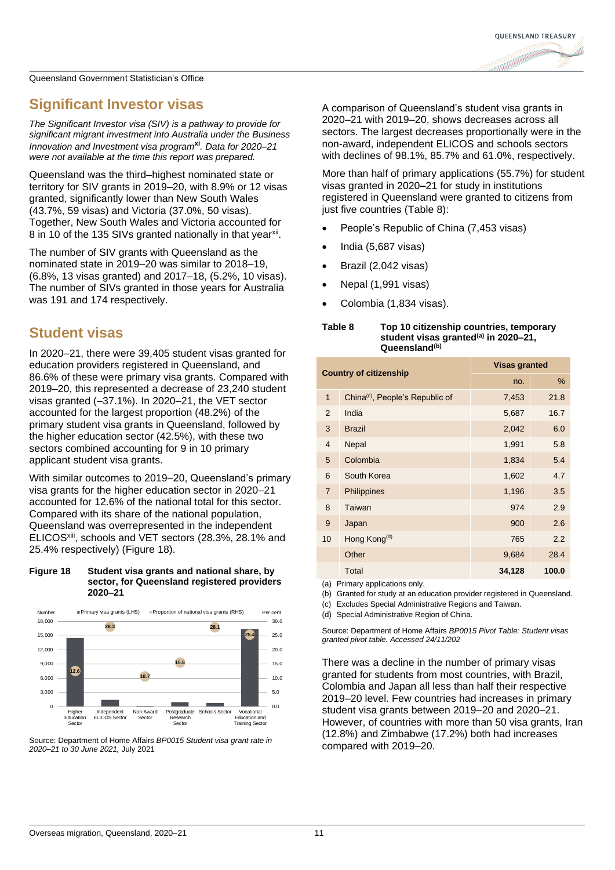### **Significant Investor visas**

*The Significant Investor visa (SIV) is a pathway to provide for significant migrant investment into Australia under the Business Innovation and Investment visa program***xi***. Data for 2020–21 were not available at the time this report was prepared.*

Queensland was the third–highest nominated state or territory for SIV grants in 2019–20, with 8.9% or 12 visas granted, significantly lower than New South Wales (43.7%, 59 visas) and Victoria (37.0%, 50 visas). Together, New South Wales and Victoria accounted for 8 in 10 of the 135 SIVs granted nationally in that year<sup>xii</sup>.

The number of SIV grants with Queensland as the nominated state in 2019–20 was similar to 2018–19, (6.8%, 13 visas granted) and 2017–18, (5.2%, 10 visas). The number of SIVs granted in those years for Australia was 191 and 174 respectively.

### **Student visas**

In 2020–21, there were 39,405 student visas granted for education providers registered in Queensland, and 86.6% of these were primary visa grants. Compared with 2019–20, this represented a decrease of 23,240 student visas granted (–37.1%). In 2020–21, the VET sector accounted for the largest proportion (48.2%) of the primary student visa grants in Queensland, followed by the higher education sector (42.5%), with these two sectors combined accounting for 9 in 10 primary applicant student visa grants.

With similar outcomes to 2019–20, Queensland's primary visa grants for the higher education sector in 2020–21 accounted for 12.6% of the national total for this sector. Compared with its share of the national population, Queensland was overrepresented in the independent ELICOSxiii, schools and VET sectors (28.3%, 28.1% and 25.4% respectively) (Figure 18).

#### **Figure 18 Student visa grants and national share, by sector, for Queensland registered providers 2020–21**





A comparison of Queensland's student visa grants in 2020–21 with 2019–20, shows decreases across all sectors. The largest decreases proportionally were in the non-award, independent ELICOS and schools sectors with declines of 98.1%, 85.7% and 61.0%, respectively.

More than half of primary applications (55.7%) for student visas granted in 2020**–**21 for study in institutions registered in Queensland were granted to citizens from just five countries [\(Table 8\)](#page-10-0):

- People's Republic of China (7,453 visas)
- India (5,687 visas)
- Brazil (2,042 visas)
- Nepal (1,991 visas)
- Colombia (1,834 visas).

### <span id="page-10-0"></span>**Table 8 Top 10 citizenship countries, temporary student visas granted(a) in 2020–21, Queensland(b)**

| <b>Country of citizenship</b> |                                             | <b>Visas granted</b> |       |  |  |
|-------------------------------|---------------------------------------------|----------------------|-------|--|--|
|                               |                                             | no.                  | %     |  |  |
| $\overline{1}$                | China <sup>(c)</sup> , People's Republic of | 7,453                | 21.8  |  |  |
| $\overline{2}$                | India                                       | 5,687                | 16.7  |  |  |
| 3                             | <b>Brazil</b>                               | 2,042                | 6.0   |  |  |
| $\overline{4}$                | Nepal                                       | 1,991                | 5.8   |  |  |
| 5                             | Colombia                                    | 1,834                | 5.4   |  |  |
| 6                             | South Korea                                 | 1,602                | 4.7   |  |  |
| $\overline{7}$                | Philippines                                 | 1,196                | 3.5   |  |  |
| 8                             | Taiwan                                      | 974                  | 2.9   |  |  |
| 9                             | Japan                                       | 900                  | 2.6   |  |  |
| 10                            | Hong Kong <sup>(d)</sup>                    | 765                  | 2.2   |  |  |
|                               | Other                                       | 9,684                | 28.4  |  |  |
|                               | Total                                       | 34,128               | 100.0 |  |  |
| $\sqrt{1}$                    | ∽                                           |                      |       |  |  |

(a) Primary applications only.

(b) Granted for study at an education provider registered in Queensland.

(c) Excludes Special Administrative Regions and Taiwan.

(d) Special Administrative Region of China.

Source: Department of Home Affairs *BP0015 Pivot Table: Student visas granted pivot table. Accessed 24/11/202*

There was a decline in the number of primary visas granted for students from most countries, with Brazil, Colombia and Japan all less than half their respective 2019–20 level. Few countries had increases in primary student visa grants between 2019–20 and 2020–21. However, of countries with more than 50 visa grants, Iran (12.8%) and Zimbabwe (17.2%) both had increases compared with 2019–20.